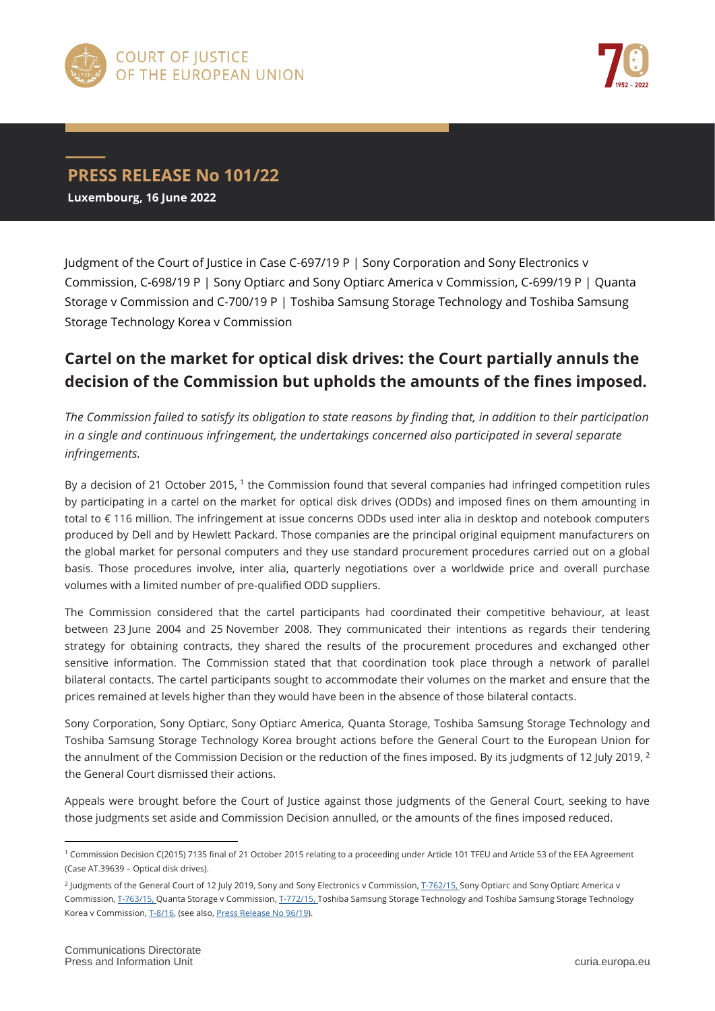



## **PRESS RELEASE No 101/22 Luxembourg, 16 June 2022**

Judgment of the Court of Justice in Case C-697/19 P | Sony Corporation and Sony Electronics v Commission, C-698/19 P | Sony Optiarc and Sony Optiarc America v Commission, C-699/19 P | Quanta Storage v Commission and C-700/19 P | Toshiba Samsung Storage Technology and Toshiba Samsung Storage Technology Korea v Commission

## **Cartel on the market for optical disk drives: the Court partially annuls the decision of the Commission but upholds the amounts of the fines imposed.**

*The Commission failed to satisfy its obligation to state reasons by finding that, in addition to their participation in a single and continuous infringement, the undertakings concerned also participated in several separate infringements.*

By a decision of 21 October 2015, <sup>1</sup> the Commission found that several companies had infringed competition rules by participating in a cartel on the market for optical disk drives (ODDs) and imposed fines on them amounting in total to € 116 million. The infringement at issue concerns ODDs used inter alia in desktop and notebook computers produced by Dell and by Hewlett Packard. Those companies are the principal original equipment manufacturers on the global market for personal computers and they use standard procurement procedures carried out on a global basis. Those procedures involve, inter alia, quarterly negotiations over a worldwide price and overall purchase volumes with a limited number of pre-qualified ODD suppliers.

The Commission considered that the cartel participants had coordinated their competitive behaviour, at least between 23 June 2004 and 25 November 2008. They communicated their intentions as regards their tendering strategy for obtaining contracts, they shared the results of the procurement procedures and exchanged other sensitive information. The Commission stated that that coordination took place through a network of parallel bilateral contacts. The cartel participants sought to accommodate their volumes on the market and ensure that the prices remained at levels higher than they would have been in the absence of those bilateral contacts.

Sony Corporation, Sony Optiarc, Sony Optiarc America, Quanta Storage, Toshiba Samsung Storage Technology and Toshiba Samsung Storage Technology Korea brought actions before the General Court to the European Union for the annulment of the Commission Decision or the reduction of the fines imposed. By its judgments of 12 July 2019, <sup>2</sup> the General Court dismissed their actions.

Appeals were brought before the Court of Justice against those judgments of the General Court, seeking to have those judgments set aside and Commission Decision annulled, or the amounts of the fines imposed reduced.

 $\overline{a}$ 

<sup>1</sup> Commission Decision C(2015) 7135 final of 21 October 2015 relating to a proceeding under Article 101 TFEU and Article 53 of the EEA Agreement (Case AT.39639 – Optical disk drives).

<sup>&</sup>lt;sup>2</sup> Judgments of the General Court of 12 July 2019, Sony and Sony Electronics v Commission[, T-762/15,](https://curia.europa.eu/juris/documents.jsf?num=T-762/15) Sony Optiarc and Sony Optiarc America v Commission[, T-763/15,](https://curia.europa.eu/juris/documents.jsf?num=T-763/15) Quanta Storage v Commission[, T-772/15,](https://curia.europa.eu/juris/documents.jsf?num=T-772/15) Toshiba Samsung Storage Technology and Toshiba Samsung Storage Technology Korea v Commission[, T-8/16,](https://curia.europa.eu/juris/documents.jsf?num=T-8/16) (see also, [Press Release No 96/19\).](https://curia.europa.eu/jcms/upload/docs/application/pdf/2019-07/cp190096en.pdf)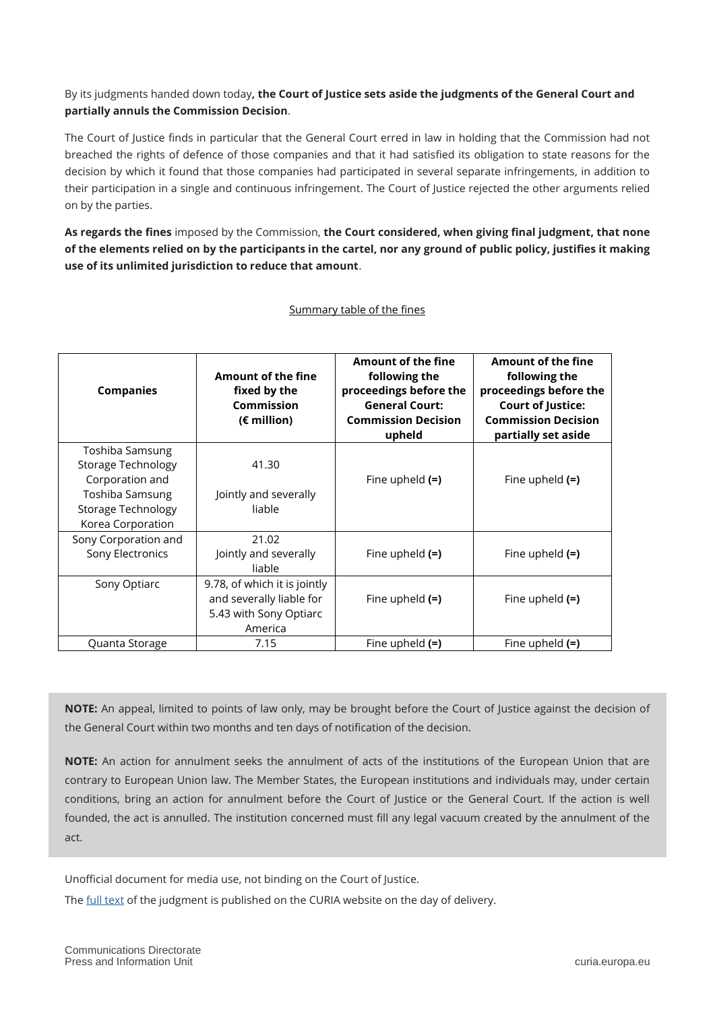## By its judgments handed down today**, the Court of Justice sets aside the judgments of the General Court and partially annuls the Commission Decision**.

The Court of Justice finds in particular that the General Court erred in law in holding that the Commission had not breached the rights of defence of those companies and that it had satisfied its obligation to state reasons for the decision by which it found that those companies had participated in several separate infringements, in addition to their participation in a single and continuous infringement. The Court of Justice rejected the other arguments relied on by the parties.

**As regards the fines** imposed by the Commission, **the Court considered, when giving final judgment, that none of the elements relied on by the participants in the cartel, nor any ground of public policy, justifies it making use of its unlimited jurisdiction to reduce that amount**.

| <b>Companies</b>                                                                                                              | Amount of the fine<br>fixed by the<br>Commission<br>(€ million)                               | <b>Amount of the fine</b><br>following the<br>proceedings before the<br><b>General Court:</b><br><b>Commission Decision</b><br>upheld | Amount of the fine<br>following the<br>proceedings before the<br><b>Court of Justice:</b><br><b>Commission Decision</b><br>partially set aside |
|-------------------------------------------------------------------------------------------------------------------------------|-----------------------------------------------------------------------------------------------|---------------------------------------------------------------------------------------------------------------------------------------|------------------------------------------------------------------------------------------------------------------------------------------------|
| Toshiba Samsung<br>Storage Technology<br>Corporation and<br>Toshiba Samsung<br><b>Storage Technology</b><br>Korea Corporation | 41.30<br>Jointly and severally<br>liable                                                      | Fine upheld $(=)$                                                                                                                     | Fine upheld $(=)$                                                                                                                              |
| Sony Corporation and<br>Sony Electronics                                                                                      | 21.02<br>Jointly and severally<br>liable                                                      | Fine upheld $(=)$                                                                                                                     | Fine upheld $(=)$                                                                                                                              |
| Sony Optiarc                                                                                                                  | 9.78, of which it is jointly<br>and severally liable for<br>5.43 with Sony Optiarc<br>America | Fine upheld $(=)$                                                                                                                     | Fine upheld $(=)$                                                                                                                              |
| Quanta Storage                                                                                                                | 7.15                                                                                          | Fine upheld $(=)$                                                                                                                     | Fine upheld $(=)$                                                                                                                              |

Summary table of the fines

**NOTE:** An appeal, limited to points of law only, may be brought before the Court of Justice against the decision of the General Court within two months and ten days of notification of the decision.

**NOTE:** An action for annulment seeks the annulment of acts of the institutions of the European Union that are contrary to European Union law. The Member States, the European institutions and individuals may, under certain conditions, bring an action for annulment before the Court of Justice or the General Court. If the action is well founded, the act is annulled. The institution concerned must fill any legal vacuum created by the annulment of the act.

Unofficial document for media use, not binding on the Court of Justice.

The [full text](https://curia.europa.eu/juris/documents.jsf?num=C-697/19%20P) of the judgment is published on the CURIA website on the day of delivery.